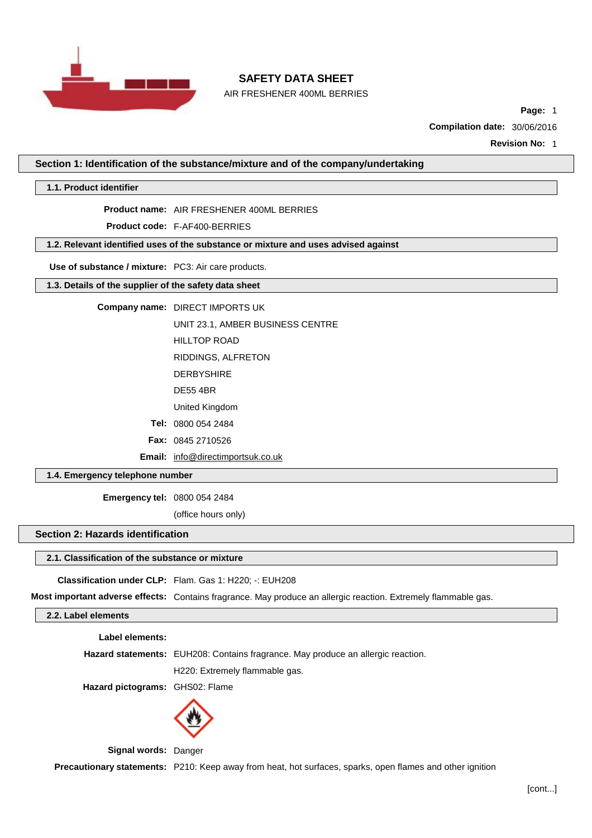

AIR FRESHENER 400ML BERRIES

**Page:** 1

**Compilation date:** 30/06/2016

**Revision No:** 1

**Section 1: Identification of the substance/mixture and of the company/undertaking**

**1.1. Product identifier**

**Product name:** AIR FRESHENER 400ML BERRIES

**Product code:** F-AF400-BERRIES

**1.2. Relevant identified uses of the substance or mixture and uses advised against**

**Use of substance / mixture:** PC3: Air care products.

**1.3. Details of the supplier of the safety data sheet**

**Company name:** DIRECT IMPORTS UK

UNIT 23.1, AMBER BUSINESS CENTRE

HILLTOP ROAD

RIDDINGS, ALFRETON

- DERBYSHIRE
- DE55 4BR

United Kingdom

**Tel:** 0800 054 2484

**Fax:** 0845 2710526

**Email:** [info@directimportsuk.co.uk](mailto:info@directimportsuk.co.uk)

**1.4. Emergency telephone number**

**Emergency tel:** 0800 054 2484

(office hours only)

### **Section 2: Hazards identification**

#### **2.1. Classification of the substance or mixture**

**Classification under CLP:** Flam. Gas 1: H220; -: EUH208

**Most important adverse effects:** Contains fragrance. May produce an allergic reaction. Extremely flammable gas.

# **2.2. Label elements**

**Label elements:**

**Hazard statements:** EUH208: Contains fragrance. May produce an allergic reaction.

H220: Extremely flammable gas.

**Hazard pictograms:** GHS02: Flame



**Signal words:** Danger

**Precautionary statements:** P210: Keep away from heat, hot surfaces, sparks, open flames and other ignition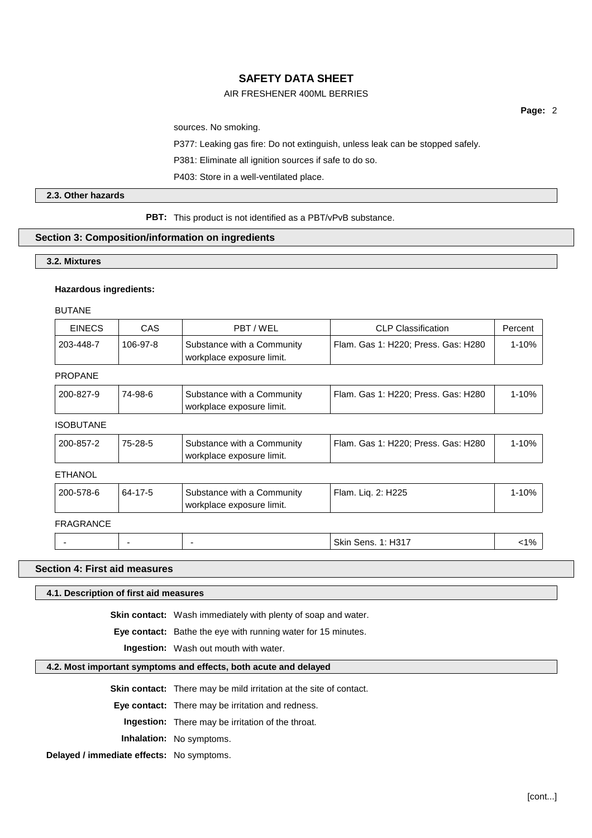# AIR FRESHENER 400ML BERRIES

**Page:** 2

sources. No smoking.

P377: Leaking gas fire: Do not extinguish, unless leak can be stopped safely.

P381: Eliminate all ignition sources if safe to do so.

P403: Store in a well-ventilated place.

### **2.3. Other hazards**

**PBT:** This product is not identified as a PBT/vPvB substance.

#### **Section 3: Composition/information on ingredients**

**3.2. Mixtures**

#### **Hazardous ingredients:**

BUTANE

| <b>EINECS</b> | CAS      | PBT / WEL                                               | <b>CLP Classification</b>           | Percent |
|---------------|----------|---------------------------------------------------------|-------------------------------------|---------|
| 203-448-7     | 106-97-8 | Substance with a Community<br>workplace exposure limit. | Flam. Gas 1: H220; Press. Gas: H280 | 1-10%   |

# PROPANE

| Flam. Gas 1: H220: Press. Gas: H280<br>200-827-9<br>74-98-6<br>Substance with a Community |  | workplace exposure limit. | 1-10% |
|-------------------------------------------------------------------------------------------|--|---------------------------|-------|
|                                                                                           |  |                           |       |

# ISOBUTANE

| 200-857-2 | 75-28-5 | Substance with a Community<br>workplace exposure limit. | Flam. Gas 1: H220; Press. Gas: H280 | 1-10% |
|-----------|---------|---------------------------------------------------------|-------------------------------------|-------|
|-----------|---------|---------------------------------------------------------|-------------------------------------|-------|

# ETHANOL

| 200-578-6 | 64-17-5 | Substance with a Community<br>workplace exposure limit. | Flam. Lig. 2: H225        | $1 - 10%$ |
|-----------|---------|---------------------------------------------------------|---------------------------|-----------|
| FRAGRANCE |         |                                                         |                           |           |
|           | -       |                                                         | <b>Skin Sens. 1: H317</b> | $< 1\%$   |

### **Section 4: First aid measures**

### **4.1. Description of first aid measures**

**Skin contact:** Wash immediately with plenty of soap and water.

**Eye contact:** Bathe the eye with running water for 15 minutes.

**Ingestion:** Wash out mouth with water.

#### **4.2. Most important symptoms and effects, both acute and delayed**

**Skin contact:** There may be mild irritation at the site of contact.

**Eye contact:** There may be irritation and redness.

**Ingestion:** There may be irritation of the throat.

**Inhalation:** No symptoms.

**Delayed / immediate effects:** No symptoms.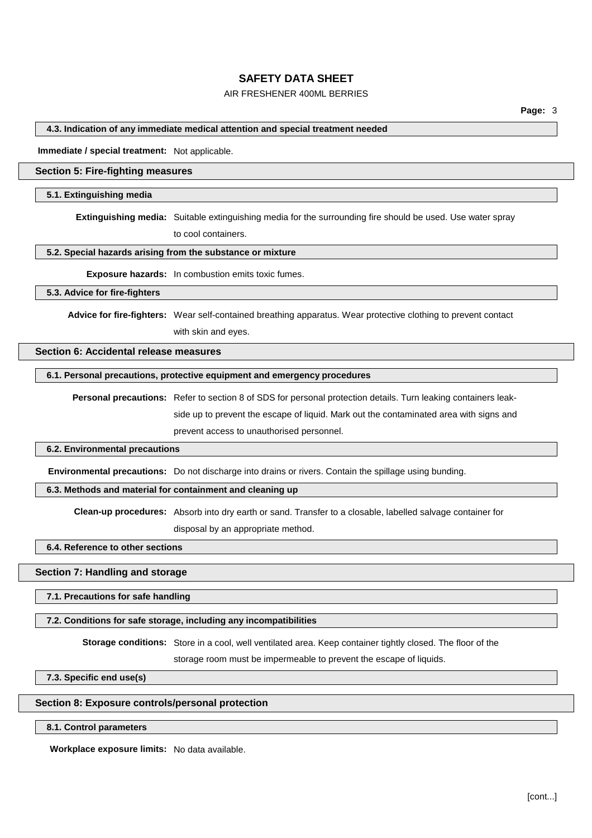# AIR FRESHENER 400ML BERRIES

#### **4.3. Indication of any immediate medical attention and special treatment needed**

**Immediate / special treatment:** Not applicable.

### **Section 5: Fire-fighting measures**

#### **5.1. Extinguishing media**

**Extinguishing media:** Suitable extinguishing media for the surrounding fire should be used. Use water spray

to cool containers.

#### **5.2. Special hazards arising from the substance or mixture**

**Exposure hazards:** In combustion emits toxic fumes.

#### **5.3. Advice for fire-fighters**

**Advice for fire-fighters:** Wear self-contained breathing apparatus. Wear protective clothing to prevent contact

with skin and eyes.

#### **Section 6: Accidental release measures**

### **6.1. Personal precautions, protective equipment and emergency procedures**

**Personal precautions:** Refer to section 8 of SDS for personal protection details. Turn leaking containers leakside up to prevent the escape of liquid. Mark out the contaminated area with signs and prevent access to unauthorised personnel.

#### **6.2. Environmental precautions**

**Environmental precautions:** Do not discharge into drains or rivers. Contain the spillage using bunding.

### **6.3. Methods and material for containment and cleaning up**

**Clean-up procedures:** Absorb into dry earth or sand. Transfer to a closable, labelled salvage container for

disposal by an appropriate method.

# **6.4. Reference to other sections**

#### **Section 7: Handling and storage**

**7.1. Precautions for safe handling**

# **7.2. Conditions for safe storage, including any incompatibilities**

**Storage conditions:** Store in a cool, well ventilated area. Keep container tightly closed. The floor of the

storage room must be impermeable to prevent the escape of liquids.

**7.3. Specific end use(s)**

#### **Section 8: Exposure controls/personal protection**

#### **8.1. Control parameters**

**Workplace exposure limits:** No data available.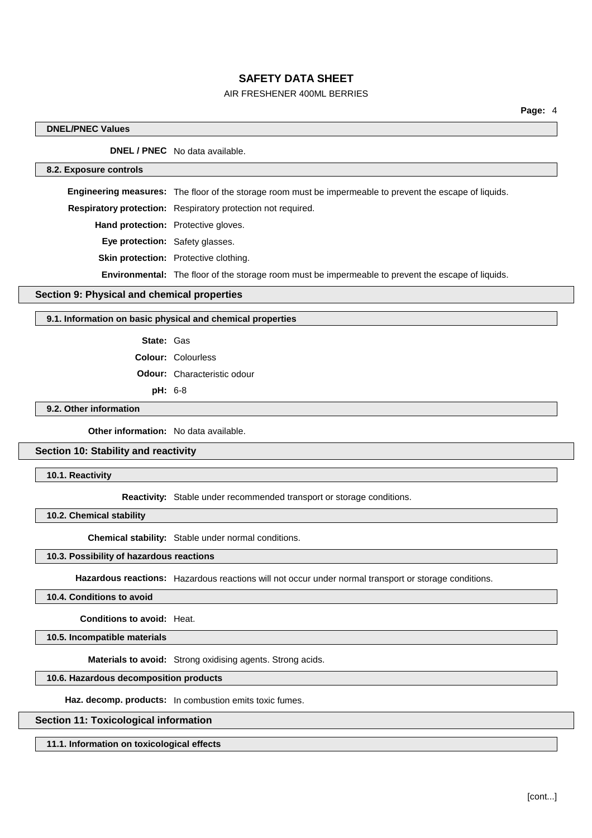# AIR FRESHENER 400ML BERRIES

### **DNEL/PNEC Values**

**DNEL / PNEC** No data available.

#### **8.2. Exposure controls**

**Engineering measures:** The floor of the storage room must be impermeable to prevent the escape of liquids.

**Respiratory protection:** Respiratory protection not required.

**Hand protection:** Protective gloves.

**Eye protection:** Safety glasses.

**Skin protection:** Protective clothing.

**Environmental:** The floor of the storage room must be impermeable to prevent the escape of liquids.

### **Section 9: Physical and chemical properties**

#### **9.1. Information on basic physical and chemical properties**

**State:** Gas

**Colour:** Colourless

**Odour:** Characteristic odour

**pH:** 6-8

# **9.2. Other information**

**Other information:** No data available.

# **Section 10: Stability and reactivity**

**10.1. Reactivity**

**Reactivity:** Stable under recommended transport or storage conditions.

**10.2. Chemical stability**

**Chemical stability:** Stable under normal conditions.

#### **10.3. Possibility of hazardous reactions**

**Hazardous reactions:** Hazardous reactions will not occur under normal transport or storage conditions.

### **10.4. Conditions to avoid**

**Conditions to avoid:** Heat.

**10.5. Incompatible materials**

**Materials to avoid:** Strong oxidising agents. Strong acids.

### **10.6. Hazardous decomposition products**

**Haz. decomp. products:** In combustion emits toxic fumes.

### **Section 11: Toxicological information**

**11.1. Information on toxicological effects**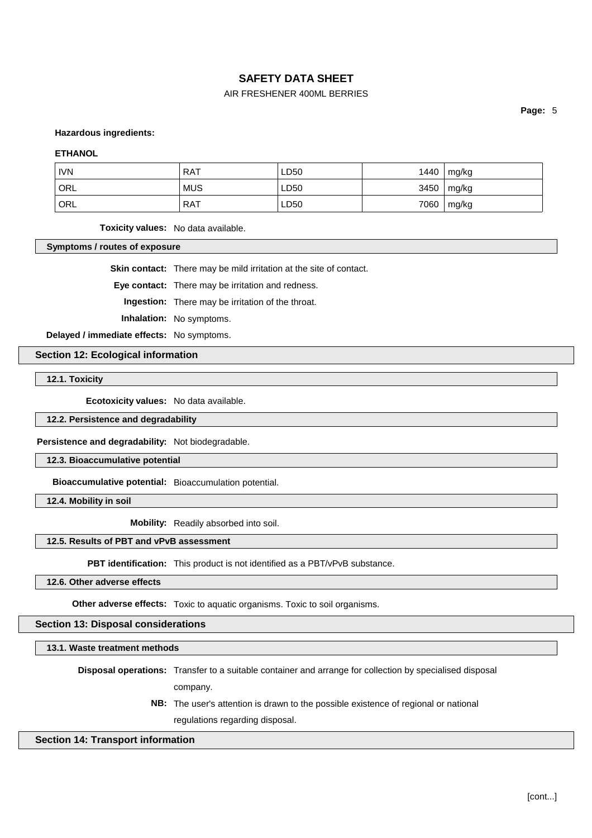# AIR FRESHENER 400ML BERRIES

**Page:** 5

**Hazardous ingredients:**

#### **ETHANOL**

| <b>IVN</b>       | <b>RAT</b> | LD50 | 1440 | mg/kg |
|------------------|------------|------|------|-------|
| <sup>I</sup> ORL | <b>MUS</b> | LD50 | 3450 | mg/kg |
| ' ORL            | RAT        | LD50 | 7060 | mg/kg |

**Toxicity values:** No data available.

**Symptoms / routes of exposure**

**Skin contact:** There may be mild irritation at the site of contact.

**Eye contact:** There may be irritation and redness.

**Ingestion:** There may be irritation of the throat.

**Inhalation:** No symptoms.

**Delayed / immediate effects:** No symptoms.

**Section 12: Ecological information**

**12.1. Toxicity**

**Ecotoxicity values:** No data available.

**12.2. Persistence and degradability**

**Persistence and degradability:** Not biodegradable.

**12.3. Bioaccumulative potential**

**Bioaccumulative potential:** Bioaccumulation potential.

**12.4. Mobility in soil**

**Mobility:** Readily absorbed into soil.

# **12.5. Results of PBT and vPvB assessment**

**PBT identification:** This product is not identified as a PBT/vPvB substance.

**12.6. Other adverse effects**

**Other adverse effects:** Toxic to aquatic organisms. Toxic to soil organisms.

**Section 13: Disposal considerations**

**13.1. Waste treatment methods**

**Disposal operations:** Transfer to a suitable container and arrange for collection by specialised disposal company.

> **NB:** The user's attention is drawn to the possible existence of regional or national regulations regarding disposal.

#### **Section 14: Transport information**